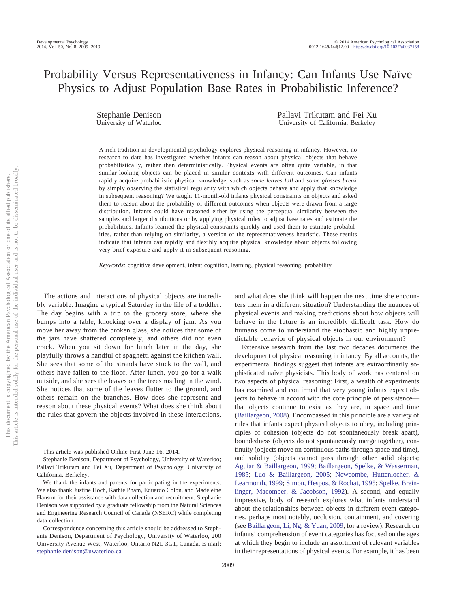# Probability Versus Representativeness in Infancy: Can Infants Use Naïve Physics to Adjust Population Base Rates in Probabilistic Inference?

Stephanie Denison University of Waterloo Pallavi Trikutam and Fei Xu University of California, Berkeley

A rich tradition in developmental psychology explores physical reasoning in infancy. However, no research to date has investigated whether infants can reason about physical objects that behave probabilistically, rather than deterministically. Physical events are often quite variable, in that similar-looking objects can be placed in similar contexts with different outcomes. Can infants rapidly acquire probabilistic physical knowledge, such as *some leaves fall* and *some glasses break* by simply observing the statistical regularity with which objects behave and apply that knowledge in subsequent reasoning? We taught 11-month-old infants physical constraints on objects and asked them to reason about the probability of different outcomes when objects were drawn from a large distribution. Infants could have reasoned either by using the perceptual similarity between the samples and larger distributions or by applying physical rules to adjust base rates and estimate the probabilities. Infants learned the physical constraints quickly and used them to estimate probabilities, rather than relying on similarity, a version of the representativeness heuristic. These results indicate that infants can rapidly and flexibly acquire physical knowledge about objects following very brief exposure and apply it in subsequent reasoning.

*Keywords:* cognitive development, infant cognition, learning, physical reasoning, probability

The actions and interactions of physical objects are incredibly variable. Imagine a typical Saturday in the life of a toddler. The day begins with a trip to the grocery store, where she bumps into a table, knocking over a display of jam. As you move her away from the broken glass, she notices that some of the jars have shattered completely, and others did not even crack. When you sit down for lunch later in the day, she playfully throws a handful of spaghetti against the kitchen wall. She sees that some of the strands have stuck to the wall, and others have fallen to the floor. After lunch, you go for a walk outside, and she sees the leaves on the trees rustling in the wind. She notices that some of the leaves flutter to the ground, and others remain on the branches. How does she represent and reason about these physical events? What does she think about the rules that govern the objects involved in these interactions, and what does she think will happen the next time she encounters them in a different situation? Understanding the nuances of physical events and making predictions about how objects will behave in the future is an incredibly difficult task. How do humans come to understand the stochastic and highly unpredictable behavior of physical objects in our environment?

Extensive research from the last two decades documents the development of physical reasoning in infancy. By all accounts, the experimental findings suggest that infants are extraordinarily sophisticated naïve physicists. This body of work has centered on two aspects of physical reasoning: First, a wealth of experiments has examined and confirmed that very young infants expect objects to behave in accord with the core principle of persistence that objects continue to exist as they are, in space and time [\(Baillargeon, 2008\)](#page-9-0). Encompassed in this principle are a variety of rules that infants expect physical objects to obey, including principles of cohesion (objects do not spontaneously break apart), boundedness (objects do not spontaneously merge together), continuity (objects move on continuous paths through space and time), and solidity (objects cannot pass through other solid objects; [Aguiar & Baillargeon, 1999;](#page-9-1) [Baillargeon, Spelke, & Wasserman,](#page-9-2) [1985;](#page-9-2) [Luo & Baillargeon, 2005;](#page-10-0) [Newcombe, Huttenlocher, &](#page-10-1) [Learmonth, 1999;](#page-10-1) [Simon, Hespos, & Rochat, 1995;](#page-10-2) [Spelke, Brein](#page-10-3)[linger, Macomber, & Jacobson, 1992\)](#page-10-3). A second, and equally impressive, body of research explores what infants understand about the relationships between objects in different event categories, perhaps most notably, occlusion, containment, and covering (see [Baillargeon, Li, Ng, & Yuan, 2009,](#page-9-3) for a review). Research on infants' comprehension of event categories has focused on the ages at which they begin to include an assortment of relevant variables in their representations of physical events. For example, it has been

not to be disseminated broadly one of its allied publishers.

 $\rm \tilde{o}$ 

This article was published Online First June 16, 2014.

Stephanie Denison, Department of Psychology, University of Waterloo; Pallavi Trikutam and Fei Xu, Department of Psychology, University of California, Berkeley.

We thank the infants and parents for participating in the experiments. We also thank Justine Hoch, Kathie Pham, Eduardo Colon, and Madeleine Hanson for their assistance with data collection and recruitment. Stephanie Denison was supported by a graduate fellowship from the Natural Sciences and Engineering Research Council of Canada (NSERC) while completing data collection.

Correspondence concerning this article should be addressed to Stephanie Denison, Department of Psychology, University of Waterloo, 200 University Avenue West, Waterloo, Ontario N2L 3G1, Canada. E-mail: [stephanie.denison@uwaterloo.ca](mailto:stephanie.denison@uwaterloo.ca)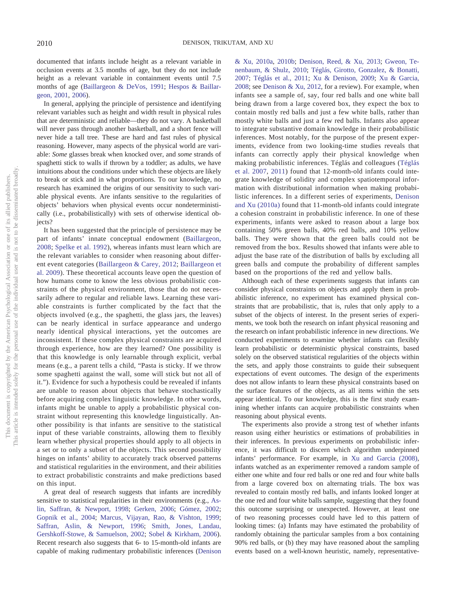documented that infants include height as a relevant variable in occlusion events at 3.5 months of age, but they do not include height as a relevant variable in containment events until 7.5 months of age [\(Baillargeon & DeVos, 1991;](#page-9-4) [Hespos & Baillar](#page-10-4)[geon, 2001,](#page-10-4) [2006\)](#page-10-5).

In general, applying the principle of persistence and identifying relevant variables such as height and width result in physical rules that are deterministic and reliable—they do not vary. A basketball will never pass through another basketball, and a short fence will never hide a tall tree. These are hard and fast rules of physical reasoning. However, many aspects of the physical world are variable: *Some* glasses break when knocked over, and *some* strands of spaghetti stick to walls if thrown by a toddler; as adults, we have intuitions about the conditions under which these objects are likely to break or stick and in what proportions. To our knowledge, no research has examined the origins of our sensitivity to such variable physical events. Are infants sensitive to the regularities of objects' behaviors when physical events occur nondeterministically (i.e., probabilistically) with sets of otherwise identical objects?

It has been suggested that the principle of persistence may be part of infants' innate conceptual endowment [\(Baillargeon,](#page-9-0) [2008;](#page-9-0) [Spelke et al. 1992\)](#page-10-3), whereas infants must learn which are the relevant variables to consider when reasoning about different event categories [\(Baillargeon & Carey, 2012;](#page-9-5) [Baillargeon et](#page-9-3) [al. 2009\)](#page-9-3). These theoretical accounts leave open the question of how humans come to know the less obvious probabilistic constraints of the physical environment, those that do not necessarily adhere to regular and reliable laws. Learning these variable constraints is further complicated by the fact that the objects involved (e.g., the spaghetti, the glass jars, the leaves) can be nearly identical in surface appearance and undergo nearly identical physical interactions, yet the outcomes are inconsistent. If these complex physical constraints are acquired through experience, how are they learned? One possibility is that this knowledge is only learnable through explicit, verbal means (e.g., a parent tells a child, "Pasta is sticky. If we throw some spaghetti against the wall, some will stick but not all of it."). Evidence for such a hypothesis could be revealed if infants are unable to reason about objects that behave stochastically before acquiring complex linguistic knowledge. In other words, infants might be unable to apply a probabilistic physical constraint without representing this knowledge linguistically. Another possibility is that infants are sensitive to the statistical input of these variable constraints, allowing them to flexibly learn whether physical properties should apply to all objects in a set or to only a subset of the objects. This second possibility hinges on infants' ability to accurately track observed patterns and statistical regularities in the environment, and their abilities to extract probabilistic constraints and make predictions based on this input.

A great deal of research suggests that infants are incredibly sensitive to statistical regularities in their environments (e.g., [As](#page-9-6)[lin, Saffran, & Newport, 1998;](#page-9-6) [Gerken, 2006;](#page-10-6) [Gómez, 2002;](#page-10-7) [Gopnik et al., 2004;](#page-10-8) [Marcus, Vijayan, Rao, & Vishton, 1999;](#page-10-9) [Saffran, Aslin, & Newport, 1996;](#page-10-10) [Smith, Jones, Landau,](#page-10-11) [Gershkoff-Stowe, & Samuelson, 2002;](#page-10-11) [Sobel & Kirkham, 2006\)](#page-10-12). Recent research also suggests that 6- to 15-month-old infants are capable of making rudimentary probabilistic inferences [\(Denison](#page-9-7) [& Xu, 2010a,](#page-9-7) [2010b;](#page-9-8) [Denison, Reed, & Xu, 2013;](#page-9-9) [Gweon, Te](#page-10-13)[nenbaum, & Shulz, 2010;](#page-10-13) [Téglás, Girotto, Gonzalez, & Bonatti,](#page-10-14) [2007;](#page-10-14) [Téglás et al., 2011;](#page-10-15) [Xu & Denison, 2009;](#page-10-16) [Xu & Garcia,](#page-10-17) [2008;](#page-10-17) see [Denison & Xu, 2012,](#page-9-10) for a review). For example, when infants see a sample of, say, four red balls and one white ball being drawn from a large covered box, they expect the box to contain mostly red balls and just a few white balls, rather than mostly white balls and just a few red balls. Infants also appear to integrate substantive domain knowledge in their probabilistic inferences. Most notably, for the purpose of the present experiments, evidence from two looking-time studies reveals that infants can correctly apply their physical knowledge when making probabilistic inferences. Téglás and colleagues [\(Téglás](#page-10-14) [et al. 2007,](#page-10-14) [2011\)](#page-10-15) found that 12-month-old infants could integrate knowledge of solidity and complex spatiotemporal information with distributional information when making probabilistic inferences. In a different series of experiments, [Denison](#page-9-7) [and Xu \(2010a\)](#page-9-7) found that 11-month-old infants could integrate a cohesion constraint in probabilistic inference. In one of these experiments, infants were asked to reason about a large box containing 50% green balls, 40% red balls, and 10% yellow balls. They were shown that the green balls could not be removed from the box. Results showed that infants were able to adjust the base rate of the distribution of balls by excluding all green balls and compute the probability of different samples based on the proportions of the red and yellow balls.

Although each of these experiments suggests that infants can consider physical constraints on objects and apply them in probabilistic inference, no experiment has examined physical constraints that are probabilistic, that is, rules that only apply to a subset of the objects of interest. In the present series of experiments, we took both the research on infant physical reasoning and the research on infant probabilistic inference in new directions. We conducted experiments to examine whether infants can flexibly learn probabilistic or deterministic physical constraints, based solely on the observed statistical regularities of the objects within the sets, and apply those constraints to guide their subsequent expectations of event outcomes. The design of the experiments does not allow infants to learn these physical constraints based on the surface features of the objects, as all items within the sets appear identical. To our knowledge, this is the first study examining whether infants can acquire probabilistic constraints when reasoning about physical events.

The experiments also provide a strong test of whether infants reason using either heuristics or estimations of probabilities in their inferences. In previous experiments on probabilistic inference, it was difficult to discern which algorithm underpinned infants' performance. For example, in [Xu and Garcia \(2008\),](#page-10-17) infants watched as an experimenter removed a random sample of either one white and four red balls or one red and four white balls from a large covered box on alternating trials. The box was revealed to contain mostly red balls, and infants looked longer at the one red and four white balls sample, suggesting that they found this outcome surprising or unexpected. However, at least one of two reasoning processes could have led to this pattern of looking times: (a) Infants may have estimated the probability of randomly obtaining the particular samples from a box containing 90% red balls, or (b) they may have reasoned about the sampling events based on a well-known heuristic, namely, representative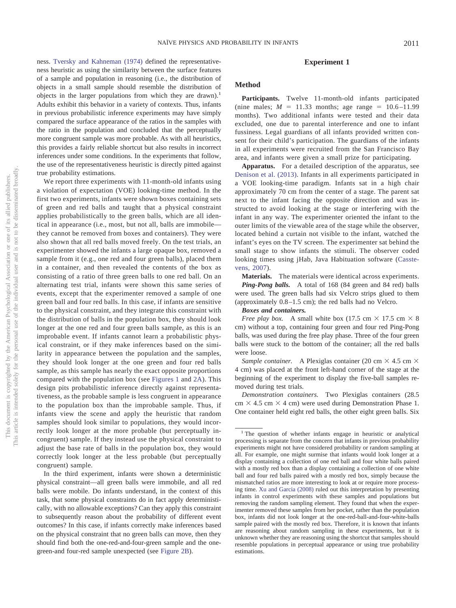objects in a small sample should resemble the distribution of objects in the larger populations from which they are drawn).<sup>1</sup> Adults exhibit this behavior in a variety of contexts. Thus, infants in previous probabilistic inference experiments may have simply compared the surface appearance of the ratios in the samples with the ratio in the population and concluded that the perceptually more congruent sample was more probable. As with all heuristics, this provides a fairly reliable shortcut but also results in incorrect inferences under some conditions. In the experiments that follow, the use of the representativeness heuristic is directly pitted against true probability estimations.

We report three experiments with 11-month-old infants using a violation of expectation (VOE) looking-time method. In the first two experiments, infants were shown boxes containing sets of green and red balls and taught that a physical constraint applies probabilistically to the green balls, which are all identical in appearance (i.e., most, but not all, balls are immobile they cannot be removed from boxes and containers). They were also shown that all red balls moved freely. On the test trials, an experimenter showed the infants a large opaque box, removed a sample from it (e.g., one red and four green balls), placed them in a container, and then revealed the contents of the box as consisting of a ratio of three green balls to one red ball. On an alternating test trial, infants were shown this same series of events, except that the experimenter removed a sample of one green ball and four red balls. In this case, if infants are sensitive to the physical constraint, and they integrate this constraint with the distribution of balls in the population box, they should look longer at the one red and four green balls sample, as this is an improbable event. If infants cannot learn a probabilistic physical constraint, or if they make inferences based on the similarity in appearance between the population and the samples, they should look longer at the one green and four red balls sample, as this sample has nearly the exact opposite proportions compared with the population box (see [Figures 1](#page-3-0) and [2A\)](#page-4-0). This design pits probabilistic inference directly against representativeness, as the probable sample is less congruent in appearance to the population box than the improbable sample. Thus, if infants view the scene and apply the heuristic that random samples should look similar to populations, they would incorrectly look longer at the more probable (but perceptually incongruent) sample. If they instead use the physical constraint to adjust the base rate of balls in the population box, they would correctly look longer at the less probable (but perceptually congruent) sample.

In the third experiment, infants were shown a deterministic physical constraint—all green balls were immobile, and all red balls were mobile. Do infants understand, in the context of this task, that some physical constraints do in fact apply deterministically, with no allowable exceptions? Can they apply this constraint to subsequently reason about the probability of different event outcomes? In this case, if infants correctly make inferences based on the physical constraint that no green balls can move, then they should find both the one-red-and-four-green sample and the onegreen-and four-red sample unexpected (see [Figure 2B\)](#page-4-0).

## **Experiment 1**

## **Method**

**Participants.** Twelve 11-month-old infants participated (nine males;  $M = 11.33$  months; age range =  $10.6 - 11.99$ months). Two additional infants were tested and their data excluded, one due to parental interference and one to infant fussiness. Legal guardians of all infants provided written consent for their child's participation. The guardians of the infants in all experiments were recruited from the San Francisco Bay area, and infants were given a small prize for participating.

**Apparatus.** For a detailed description of the apparatus, see [Denison et al. \(2013\).](#page-9-9) Infants in all experiments participated in a VOE looking-time paradigm. Infants sat in a high chair approximately 70 cm from the center of a stage. The parent sat next to the infant facing the opposite direction and was instructed to avoid looking at the stage or interfering with the infant in any way. The experimenter oriented the infant to the outer limits of the viewable area of the stage while the observer, located behind a curtain not visible to the infant, watched the infant's eyes on the TV screen. The experimenter sat behind the small stage to show infants the stimuli. The observer coded looking times using jHab, Java Habituation software [\(Casste](#page-9-11)[vens, 2007\)](#page-9-11).

**Materials.** The materials were identical across experiments. *Ping-Pong balls.* A total of 168 (84 green and 84 red) balls were used. The green balls had six Velcro strips glued to them (approximately 0.8 –1.5 cm); the red balls had no Velcro.

## *Boxes and containers.*

*Free play box.* A small white box (17.5 cm  $\times$  17.5 cm  $\times$  8 cm) without a top, containing four green and four red Ping-Pong balls, was used during the free play phase. Three of the four green balls were stuck to the bottom of the container; all the red balls were loose.

*Sample container.* A Plexiglas container (20 cm  $\times$  4.5 cm  $\times$ 4 cm) was placed at the front left-hand corner of the stage at the beginning of the experiment to display the five-ball samples removed during test trials.

*Demonstration containers.* Two Plexiglas containers (28.5 cm  $\times$  4.5 cm  $\times$  4 cm) were used during Demonstration Phase 1. One container held eight red balls, the other eight green balls. Six

<sup>&</sup>lt;sup>1</sup> The question of whether infants engage in heuristic or analytical processing is separate from the concern that infants in previous probability experiments might not have considered probability or random sampling at all. For example, one might surmise that infants would look longer at a display containing a collection of one red ball and four white balls paired with a mostly red box than a display containing a collection of one white ball and four red balls paired with a mostly red box, simply because the mismatched ratios are more interesting to look at or require more processing time. [Xu and Garcia \(2008\)](#page-10-17) ruled out this interpretation by presenting infants in control experiments with these samples and populations but removing the random sampling element. They found that when the experimenter removed these samples from her pocket, rather than the population box, infants did not look longer at the one-red-ball-and-four-white-balls sample paired with the mostly red box. Therefore, it is known that infants are reasoning about random sampling in these experiments, but it is unknown whether they are reasoning using the shortcut that samples should resemble populations in perceptual appearance or using true probability estimations.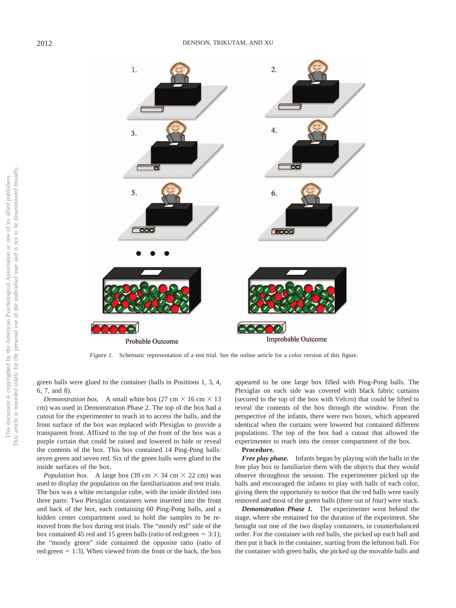

<span id="page-3-0"></span>*Figure 1.* Schematic representation of a test trial. See the online article for a color version of this figure.

green balls were glued to the container (balls in Positions 1, 3, 4, 6, 7, and 8).

*Demonstration box.* A small white box (27 cm  $\times$  16 cm  $\times$  13 cm) was used in Demonstration Phase 2. The top of the box had a cutout for the experimenter to reach in to access the balls, and the front surface of the box was replaced with Plexiglas to provide a transparent front. Affixed to the top of the front of the box was a purple curtain that could be raised and lowered to hide or reveal the contents of the box. This box contained 14 Ping-Pong balls: seven green and seven red. Six of the green balls were glued to the inside surfaces of the box.

*Population box.* A large box (39 cm  $\times$  34 cm  $\times$  22 cm) was used to display the population on the familiarization and test trials. The box was a white rectangular cube, with the inside divided into three parts: Two Plexiglas containers were inserted into the front and back of the box, each containing 60 Ping-Pong balls, and a hidden center compartment used to hold the samples to be removed from the box during test trials. The "mostly red" side of the box contained 45 red and 15 green balls (ratio of red: green  $= 3:1$ ); the "mostly green" side contained the opposite ratio (ratio of  $red:green = 1:3$ ). When viewed from the front or the back, the box

appeared to be one large box filled with Ping-Pong balls. The Plexiglas on each side was covered with black fabric curtains (secured to the top of the box with Velcro) that could be lifted to reveal the contents of the box through the window. From the perspective of the infants, there were two boxes, which appeared identical when the curtains were lowered but contained different populations. The top of the box had a cutout that allowed the experimenter to reach into the center compartment of the box.

**Procedure.**

*Free play phase.* Infants began by playing with the balls in the free play box to familiarize them with the objects that they would observe throughout the session. The experimenter picked up the balls and encouraged the infants to play with balls of each color, giving them the opportunity to notice that the red balls were easily removed and most of the green balls (three out of four) were stuck.

*Demonstration Phase 1.* The experimenter went behind the stage, where she remained for the duration of the experiment. She brought out one of the two display containers, in counterbalanced order. For the container with red balls, she picked up each ball and then put it back in the container, starting from the leftmost ball. For the container with green balls, she picked up the movable balls and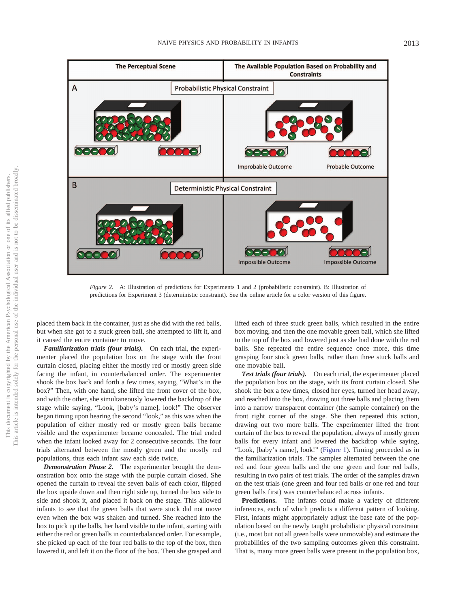not to be disseminated broadly one of its allied publishers.

This document is copyrighted by the American Psychological Association or one of its allied publishers. This article is intended solely for the personal use of the individual user and is not to be disseminated broadly.

This document is copyrighted by the American Psychological Association This article is intended solely for the personal use of the individual user and

 $\rm \overline{o}$ Š.



<span id="page-4-0"></span>*Figure 2.* A: Illustration of predictions for Experiments 1 and 2 (probabilistic constraint). B: Illustration of predictions for Experiment 3 (deterministic constraint). See the online article for a color version of this figure.

placed them back in the container, just as she did with the red balls, but when she got to a stuck green ball, she attempted to lift it, and it caused the entire container to move.

*Familiarization trials (four trials).* On each trial, the experimenter placed the population box on the stage with the front curtain closed, placing either the mostly red or mostly green side facing the infant, in counterbalanced order. The experimenter shook the box back and forth a few times, saying, "What's in the box?" Then, with one hand, she lifted the front cover of the box, and with the other, she simultaneously lowered the backdrop of the stage while saying, "Look, [baby's name], look!" The observer began timing upon hearing the second "look," as this was when the population of either mostly red or mostly green balls became visible and the experimenter became concealed. The trial ended when the infant looked away for 2 consecutive seconds. The four trials alternated between the mostly green and the mostly red populations, thus each infant saw each side twice.

*Demonstration Phase 2.* The experimenter brought the demonstration box onto the stage with the purple curtain closed. She opened the curtain to reveal the seven balls of each color, flipped the box upside down and then right side up, turned the box side to side and shook it, and placed it back on the stage. This allowed infants to see that the green balls that were stuck did not move even when the box was shaken and turned. She reached into the box to pick up the balls, her hand visible to the infant, starting with either the red or green balls in counterbalanced order. For example, she picked up each of the four red balls to the top of the box, then lowered it, and left it on the floor of the box. Then she grasped and lifted each of three stuck green balls, which resulted in the entire box moving, and then the one movable green ball, which she lifted to the top of the box and lowered just as she had done with the red balls. She repeated the entire sequence once more, this time grasping four stuck green balls, rather than three stuck balls and one movable ball.

*Test trials (four trials).* On each trial, the experimenter placed the population box on the stage, with its front curtain closed. She shook the box a few times, closed her eyes, turned her head away, and reached into the box, drawing out three balls and placing them into a narrow transparent container (the sample container) on the front right corner of the stage. She then repeated this action, drawing out two more balls. The experimenter lifted the front curtain of the box to reveal the population, always of mostly green balls for every infant and lowered the backdrop while saying, "Look, [baby's name], look!" [\(Figure 1\)](#page-3-0). Timing proceeded as in the familiarization trials. The samples alternated between the one red and four green balls and the one green and four red balls, resulting in two pairs of test trials. The order of the samples drawn on the test trials (one green and four red balls or one red and four green balls first) was counterbalanced across infants.

**Predictions.** The infants could make a variety of different inferences, each of which predicts a different pattern of looking. First, infants might appropriately adjust the base rate of the population based on the newly taught probabilistic physical constraint (i.e., most but not all green balls were unmovable) and estimate the probabilities of the two sampling outcomes given this constraint. That is, many more green balls were present in the population box,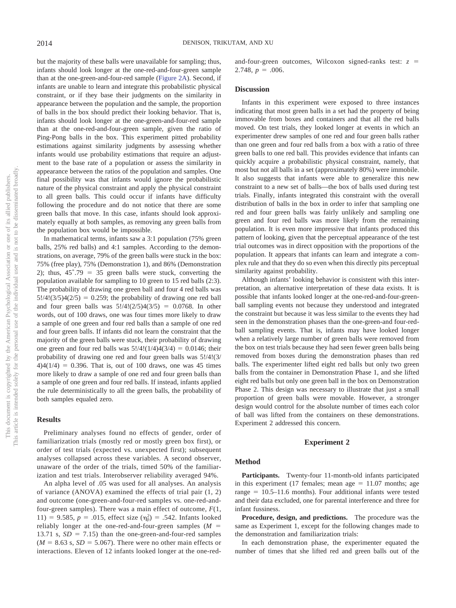but the majority of these balls were unavailable for sampling; thus, infants should look longer at the one-red-and-four-green sample than at the one-green-and-four-red sample [\(Figure 2A\)](#page-4-0). Second, if infants are unable to learn and integrate this probabilistic physical constraint, or if they base their judgments on the similarity in appearance between the population and the sample, the proportion of balls in the box should predict their looking behavior. That is, infants should look longer at the one-green-and-four-red sample than at the one-red-and-four-green sample, given the ratio of Ping-Pong balls in the box. This experiment pitted probability estimations against similarity judgments by assessing whether infants would use probability estimations that require an adjustment to the base rate of a population or assess the similarity in appearance between the ratios of the population and samples. One final possibility was that infants would ignore the probabilistic nature of the physical constraint and apply the physical constraint to all green balls. This could occur if infants have difficulty following the procedure and do not notice that there are some green balls that move. In this case, infants should look approximately equally at both samples, as removing any green balls from the population box would be impossible.

In mathematical terms, infants saw a 3:1 population (75% green balls, 25% red balls) and 4:1 samples. According to the demonstrations, on average, 79% of the green balls were stuck in the box: 75% (free play), 75% (Demonstration 1), and 86% (Demonstration 2); thus,  $45^{\degree}$ .79 = 35 green balls were stuck, converting the population available for sampling to 10 green to 15 red balls (2:3). The probability of drawing one green ball and four 4 red balls was  $5!/4!(3/5)4(2/5) = 0.259$ ; the probability of drawing one red ball and four green balls was  $5!/4!(2/5)4(3/5) = 0.0768$ . In other words, out of 100 draws, one was four times more likely to draw a sample of one green and four red balls than a sample of one red and four green balls. If infants did not learn the constraint that the majority of the green balls were stuck, their probability of drawing one green and four red balls was  $5!/4!(1/4)4(3/4) = 0.0146$ ; their probability of drawing one red and four green balls was 5!/4!(3/  $4)4(1/4) = 0.396$ . That is, out of 100 draws, one was 45 times more likely to draw a sample of one red and four green balls than a sample of one green and four red balls. If instead, infants applied the rule deterministically to all the green balls, the probability of both samples equaled zero.

## **Results**

Preliminary analyses found no effects of gender, order of familiarization trials (mostly red or mostly green box first), or order of test trials (expected vs. unexpected first); subsequent analyses collapsed across these variables. A second observer, unaware of the order of the trials, timed 50% of the familiarization and test trials. Interobserver reliability averaged 94%.

An alpha level of .05 was used for all analyses. An analysis of variance (ANOVA) examined the effects of trial pair (1, 2) and outcome (one-green-and-four-red samples vs. one-red-andfour-green samples). There was a main effect of outcome, *F*(1, 11) = 9.585,  $p = .015$ , effect size ( $\eta_p^2$ ) = .542. Infants looked reliably longer at the one-red-and-four-green samples  $(M =$ 13.71 s,  $SD = 7.15$ ) than the one-green-and-four-red samples  $(M = 8.63 \text{ s}, SD = 5.067)$ . There were no other main effects or interactions. Eleven of 12 infants looked longer at the one-redand-four-green outcomes, Wilcoxon signed-ranks test:  $z =$  $2.748, p = .006.$ 

#### **Discussion**

Infants in this experiment were exposed to three instances indicating that most green balls in a set had the property of being immovable from boxes and containers and that all the red balls moved. On test trials, they looked longer at events in which an experimenter drew samples of one red and four green balls rather than one green and four red balls from a box with a ratio of three green balls to one red ball. This provides evidence that infants can quickly acquire a probabilistic physical constraint, namely, that most but not all balls in a set (approximately 80%) were immobile. It also suggests that infants were able to generalize this new constraint to a new set of balls—the box of balls used during test trials. Finally, infants integrated this constraint with the overall distribution of balls in the box in order to infer that sampling one red and four green balls was fairly unlikely and sampling one green and four red balls was more likely from the remaining population. It is even more impressive that infants produced this pattern of looking, given that the perceptual appearance of the test trial outcomes was in direct opposition with the proportions of the population. It appears that infants can learn and integrate a complex rule and that they do so even when this directly pits perceptual similarity against probability.

Although infants' looking behavior is consistent with this interpretation, an alternative interpretation of these data exists. It is possible that infants looked longer at the one-red-and-four-greenball sampling events not because they understood and integrated the constraint but because it was less similar to the events they had seen in the demonstration phases than the one-green-and four-redball sampling events. That is, infants may have looked longer when a relatively large number of green balls were removed from the box on test trials because they had seen fewer green balls being removed from boxes during the demonstration phases than red balls. The experimenter lifted eight red balls but only two green balls from the container in Demonstration Phase 1, and she lifted eight red balls but only one green ball in the box on Demonstration Phase 2. This design was necessary to illustrate that just a small proportion of green balls were movable. However, a stronger design would control for the absolute number of times each color of ball was lifted from the containers on these demonstrations. Experiment 2 addressed this concern.

# **Experiment 2**

#### **Method**

**Participants.** Twenty-four 11-month-old infants participated in this experiment  $(17 \text{ females}; \text{mean age} = 11.07 \text{ months}; \text{age}$ range = 10.5–11.6 months). Four additional infants were tested and their data excluded, one for parental interference and three for infant fussiness.

**Procedure, design, and predictions.** The procedure was the same as Experiment 1, except for the following changes made to the demonstration and familiarization trials:

In each demonstration phase, the experimenter equated the number of times that she lifted red and green balls out of the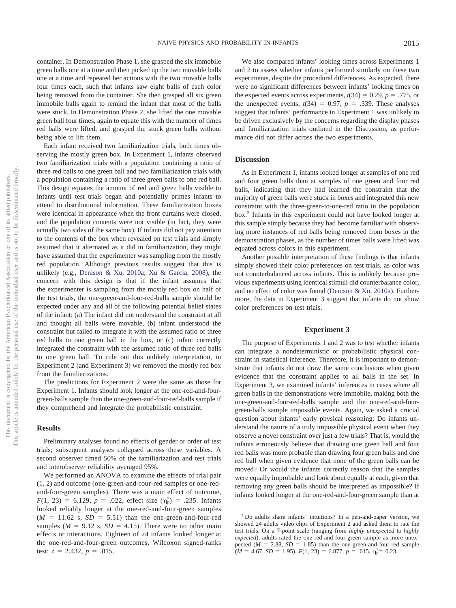container. In Demonstration Phase 1, she grasped the six immobile green balls one at a time and then picked up the two movable balls one at a time and repeated her actions with the two movable balls four times each, such that infants saw eight balls of each color being removed from the container. She then grasped all six green immobile balls again to remind the infant that most of the balls were stuck. In Demonstration Phase 2, she lifted the one movable green ball four times, again to equate this with the number of times red balls were lifted, and grasped the stuck green balls without being able to lift them.

Each infant received two familiarization trials, both times observing the mostly green box. In Experiment 1, infants observed two familiarization trials with a population containing a ratio of three red balls to one green ball and two familiarization trials with a population containing a ratio of three green balls to one red ball. This design equates the amount of red and green balls visible to infants until test trials began and potentially primes infants to attend to distributional information. These familiarization boxes were identical in appearance when the front curtains were closed, and the population contents were not visible (in fact, they were actually two sides of the same box). If infants did not pay attention to the contents of the box when revealed on test trials and simply assumed that it alternated as it did in familiarization, they might have assumed that the experimenter was sampling from the mostly red population. Although previous results suggest that this is unlikely (e.g., [Denison & Xu, 2010a;](#page-9-7) [Xu & Garcia, 2008\)](#page-10-17), the concern with this design is that if the infant assumes that the experimenter is sampling from the mostly red box on half of the test trials, the one-green-and-four-red-balls sample should be expected under any and all of the following potential belief states of the infant: (a) The infant did not understand the constraint at all and thought all balls were movable, (b) infant understood the constraint but failed to integrate it with the assumed ratio of three red bells to one green ball in the box, or (c) infant correctly integrated the constraint with the assumed ratio of three red balls to one green ball. To rule out this unlikely interpretation, in Experiment 2 (and Experiment 3) we removed the mostly red box from the familiarizations.

The predictions for Experiment 2 were the same as those for Experiment 1. Infants should look longer at the one-red-and-fourgreen-balls sample than the one-green-and-four-red-balls sample if they comprehend and integrate the probabilistic constraint.

### **Results**

Preliminary analyses found no effects of gender or order of test trials; subsequent analyses collapsed across these variables. A second observer timed 50% of the familiarization and test trials and interobserver reliability averaged 95%.

We performed an ANOVA to examine the effects of trial pair (1, 2) and outcome (one-green-and-four-red samples or one-redand-four-green samples). There was a main effect of outcome,  $F(1, 23) = 6.129$ ,  $p = .022$ , effect size  $(\eta_p^2) = .235$ . Infants looked reliably longer at the one-red-and-four-green samples  $(M = 11.62 \text{ s}, SD = 5.51)$  than the one-green-and-four-red samples ( $M = 9.12$  s,  $SD = 4.15$ ). There were no other main effects or interactions. Eighteen of 24 infants looked longer at the one-red-and-four-green outcomes, Wilcoxon signed-ranks test:  $z = 2.432, p = .015$ .

We also compared infants' looking times across Experiments 1 and 2 to assess whether infants performed similarly on these two experiments, despite the procedural differences. As expected, there were no significant differences between infants' looking times on the expected events across experiments,  $t(34) = 0.29$ ,  $p = .775$ , or the unexpected events,  $t(34) = 0.97$ ,  $p = .339$ . These analyses suggest that infants' performance in Experiment 1 was unlikely to be driven exclusively by the concerns regarding the display phases and familiarization trials outlined in the Discussion, as performance did not differ across the two experiments.

## **Discussion**

As in Experiment 1, infants looked longer at samples of one red and four green balls than at samples of one green and four red balls, indicating that they had learned the constraint that the majority of green balls were stuck in boxes and integrated this new constraint with the three-green-to-one-red ratio in the population box.2 Infants in this experiment could not have looked longer at this sample simply because they had become familiar with observing more instances of red balls being removed from boxes in the demonstration phases, as the number of times balls were lifted was equated across colors in this experiment.

Another possible interpretation of these findings is that infants simply showed their color preferences on test trials, as color was not counterbalanced across infants. This is unlikely because previous experiments using identical stimuli did counterbalance color, and no effect of color was found [\(Denison & Xu, 2010a\)](#page-9-7). Furthermore, the data in Experiment 3 suggest that infants do not show color preferences on test trials.

#### **Experiment 3**

The purpose of Experiments 1 and 2 was to test whether infants can integrate a nondeterministic or probabilistic physical constraint in statistical inference. Therefore, it is important to demonstrate that infants do not draw the same conclusions when given evidence that the constraint applies to all balls in the set. In Experiment 3, we examined infants' inferences in cases where all green balls in the demonstrations were immobile, making both the one-green-and-four-red-balls sample and the one-red-and-fourgreen-balls sample impossible events. Again, we asked a crucial question about infants' early physical reasoning: Do infants understand the nature of a truly impossible physical event when they observe a novel constraint over just a few trials? That is, would the infants erroneously believe that drawing one green ball and four red balls was more probable than drawing four green balls and one red ball when given evidence that none of the green balls can be moved? Or would the infants correctly reason that the samples were equally improbable and look about equally at each, given that removing any green balls should be interpreted as impossible? If infants looked longer at the one-red-and-four-green sample than at

<sup>2</sup> Do adults share infants' intuitions? In a pen-and-paper version, we showed 24 adults video clips of Experiment 2 and asked them to rate the test trials. On a 7-point scale (ranging from *highly unexpected* to *highly expected*), adults rated the one-red-and-four-green sample as more unexpected  $(M = 2.88, SD = 1.85)$  than the one-green-and-four-red sample  $(M = 4.67, SD = 1.95), F(1, 23) = 6.877, p = .015, \eta_{\rm p}^2 = 0.23.$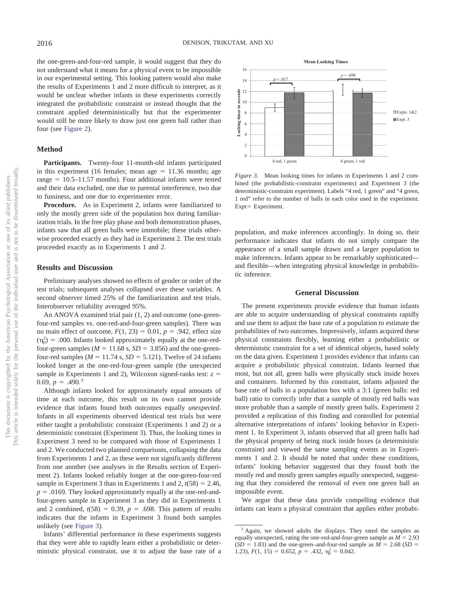the one-green-and-four-red sample, it would suggest that they do not understand what it means for a physical event to be impossible in our experimental setting. This looking pattern would also make the results of Experiments 1 and 2 more difficult to interpret, as it would be unclear whether infants in these experiments correctly integrated the probabilistic constraint or instead thought that the constraint applied deterministically but that the experimenter would still be more likely to draw just one green ball rather than four (see [Figure 2\)](#page-4-0).

#### **Method**

**Participants.** Twenty-four 11-month-old infants participated in this experiment (16 females; mean age  $= 11.36$  months; age  $range = 10.5–11.57$  months). Four additional infants were tested and their data excluded, one due to parental interference, two due to fussiness, and one due to experimenter error.

**Procedure.** As in Experiment 2, infants were familiarized to only the mostly green side of the population box during familiarization trials. In the free play phase and both demonstration phases, infants saw that all green balls were immobile; these trials otherwise proceeded exactly as they had in Experiment 2. The test trials proceeded exactly as in Experiments 1 and 2.

### **Results and Discussion**

Preliminary analyses showed no effects of gender or order of the test trials; subsequent analyses collapsed over these variables. A second observer timed 25% of the familiarization and test trials. Interobserver reliability averaged 95%.

An ANOVA examined trial pair (1, 2) and outcome (one-greenfour-red samples vs. one-red-and-four-green samples). There was no main effect of outcome,  $F(1, 23) = 0.01$ ,  $p = .942$ , effect size  $(\eta_{\rm p}^2) = .000$ . Infants looked approximately equally at the one-redfour-green samples ( $M = 11.68$  s,  $SD = 3.856$ ) and the one-greenfour-red samples ( $M = 11.74$  s,  $SD = 5.121$ ). Twelve of 24 infants looked longer at the one-red-four-green sample (the unexpected sample in Experiments 1 and 2), Wilcoxon signed-ranks test:  $z =$  $0.69, p = .490$ <sup>3</sup>

Although infants looked for approximately equal amounts of time at each outcome, this result on its own cannot provide evidence that infants found both outcomes equally *unexpected*. Infants in all experiments observed identical test trials but were either taught a probabilistic constraint (Experiments 1 and 2) or a deterministic constraint (Experiment 3). Thus, the looking times in Experiment 3 need to be compared with those of Experiments 1 and 2. We conducted two planned comparisons, collapsing the data from Experiments 1 and 2, as these were not significantly different from one another (see analyses in the Results section of Experiment 2). Infants looked reliably longer at the one-green-four-red sample in Experiment 3 than in Experiments 1 and 2,  $t(58) = 2.46$ ,  $p = 0.0169$ . They looked approximately equally at the one-red-andfour-green sample in Experiment 3 as they did in Experiments 1 and 2 combined,  $t(58) = 0.39$ ,  $p = .698$ . This pattern of results indicates that the infants in Experiment 3 found both samples unlikely (see [Figure 3\)](#page-7-0).

Infants' differential performance in these experiments suggests that they were able to rapidly learn either a probabilistic or deterministic physical constraint, use it to adjust the base rate of a



<span id="page-7-0"></span>*Figure 3.* Mean looking times for infants in Experiments 1 and 2 combined (the probabilistic-constraint experiments) and Experiment 3 (the deterministic-constraint experiment). Labels "4 red, 1 green" and "4 green, 1 red" refer to the number of balls in each color used in the experiment. Expt= Experiment.

population, and make inferences accordingly. In doing so, their performance indicates that infants do not simply compare the appearance of a small sample drawn and a larger population to make inferences. Infants appear to be remarkably sophisticated and flexible—when integrating physical knowledge in probabilistic inference.

#### **General Discussion**

The present experiments provide evidence that human infants are able to acquire understanding of physical constraints rapidly and use them to adjust the base rate of a population to estimate the probabilities of two outcomes. Impressively, infants acquired these physical constraints flexibly, learning either a probabilistic or deterministic constraint for a set of identical objects, based solely on the data given. Experiment 1 provides evidence that infants can acquire a probabilistic physical constraint. Infants learned that most, but not all, green balls were physically stuck inside boxes and containers. Informed by this constraint, infants adjusted the base rate of balls in a population box with a 3:1 (green balls: red ball) ratio to correctly infer that a sample of mostly red balls was more probable than a sample of mostly green balls. Experiment 2 provided a replication of this finding and controlled for potential alternative interpretations of infants' looking behavior in Experiment 1. In Experiment 3, infants observed that all green balls had the physical property of being stuck inside boxes (a deterministic constraint) and viewed the same sampling events as in Experiments 1 and 2. It should be noted that under these conditions, infants' looking behavior suggested that they found both the mostly red and mostly green samples equally unexpected, suggesting that they considered the removal of even one green ball an impossible event.

We argue that these data provide compelling evidence that infants can learn a physical constraint that applies either probabi-

<sup>3</sup> Again, we showed adults the displays. They rated the samples as equally unexpected, rating the one-red-and-four-green sample as  $M = 2.93$  $(SD = 1.83)$  and the one-green–and-four-red sample as  $M = 2.68$  (*SD* = 1.23),  $F(1, 15) = 0.652$ ,  $p = .432$ ,  $\eta_p^2 = 0.042$ .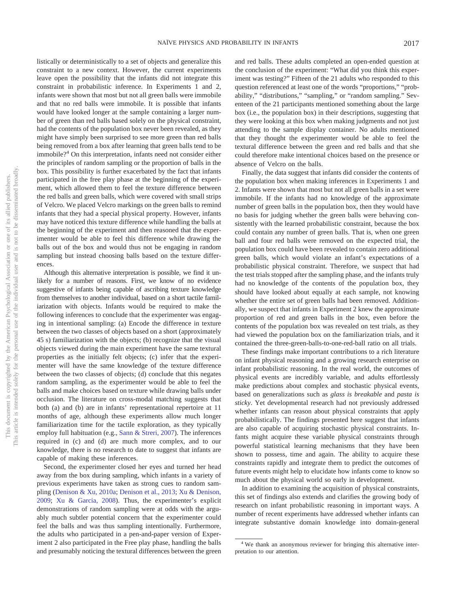listically or deterministically to a set of objects and generalize this constraint to a new context. However, the current experiments leave open the possibility that the infants did not integrate this constraint in probabilistic inference. In Experiments 1 and 2, infants were shown that most but not all green balls were immobile and that no red balls were immobile. It is possible that infants would have looked longer at the sample containing a larger number of green than red balls based solely on the physical constraint, had the contents of the population box never been revealed, as they might have simply been surprised to see more green than red balls being removed from a box after learning that green balls tend to be immobile? $4^4$  On this interpretation, infants need not consider either the principles of random sampling or the proportion of balls in the box. This possibility is further exacerbated by the fact that infants participated in the free play phase at the beginning of the experiment, which allowed them to feel the texture difference between the red balls and green balls, which were covered with small strips of Velcro. We placed Velcro markings on the green balls to remind infants that they had a special physical property. However, infants may have noticed this texture difference while handling the balls at the beginning of the experiment and then reasoned that the experimenter would be able to feel this difference while drawing the balls out of the box and would thus not be engaging in random sampling but instead choosing balls based on the texture differences.

Although this alternative interpretation is possible, we find it unlikely for a number of reasons. First, we know of no evidence suggestive of infants being capable of ascribing texture knowledge from themselves to another individual, based on a short tactile familiarization with objects. Infants would be required to make the following inferences to conclude that the experimenter was engaging in intentional sampling: (a) Encode the difference in texture between the two classes of objects based on a short (approximately 45 s) familiarization with the objects; (b) recognize that the visual objects viewed during the main experiment have the same textural properties as the initially felt objects; (c) infer that the experimenter will have the same knowledge of the texture difference between the two classes of objects; (d) conclude that this negates random sampling, as the experimenter would be able to feel the balls and make choices based on texture while drawing balls under occlusion. The literature on cross-modal matching suggests that both (a) and (b) are in infants' representational repertoire at 11 months of age, although these experiments allow much longer familiarization time for the tactile exploration, as they typically employ full habituation (e.g., [Sann & Streri, 2007\)](#page-10-19). The inferences required in (c) and (d) are much more complex, and to our knowledge, there is no research to date to suggest that infants are capable of making these inferences.

Second, the experimenter closed her eyes and turned her head away from the box during sampling, which infants in a variety of previous experiments have taken as strong cues to random sampling [\(Denison & Xu, 2010a;](#page-9-7) [Denison et al., 2013;](#page-9-9) [Xu & Denison,](#page-10-16) [2009;](#page-10-16) [Xu & Garcia, 2008\)](#page-10-17). Thus, the experimenter's explicit demonstrations of random sampling were at odds with the arguably much subtler potential concern that the experimenter could feel the balls and was thus sampling intentionally. Furthermore, the adults who participated in a pen-and-paper version of Experiment 2 also participated in the Free play phase, handling the balls and presumably noticing the textural differences between the green and red balls. These adults completed an open-ended question at the conclusion of the experiment: "What did you think this experiment was testing?" Fifteen of the 21 adults who responded to this question referenced at least one of the words "proportions," "probability," "distributions," "sampling," or "random sampling." Seventeen of the 21 participants mentioned something about the large box (i.e., the population box) in their descriptions, suggesting that they were looking at this box when making judgments and not just attending to the sample display container. No adults mentioned that they thought the experimenter would be able to feel the textural difference between the green and red balls and that she could therefore make intentional choices based on the presence or absence of Velcro on the balls.

Finally, the data suggest that infants did consider the contents of the population box when making inferences in Experiments 1 and 2. Infants were shown that most but not all green balls in a set were immobile. If the infants had no knowledge of the approximate number of green balls in the population box, then they would have no basis for judging whether the green balls were behaving consistently with the learned probabilistic constraint, because the box could contain any number of green balls. That is, when one green ball and four red balls were removed on the expected trial, the population box could have been revealed to contain zero additional green balls, which would violate an infant's expectations of a probabilistic physical constraint. Therefore, we suspect that had the test trials stopped after the sampling phase, and the infants truly had no knowledge of the contents of the population box, they should have looked about equally at each sample, not knowing whether the entire set of green balls had been removed. Additionally, we suspect that infants in Experiment 2 knew the approximate proportion of red and green balls in the box, even before the contents of the population box was revealed on test trials, as they had viewed the population box on the familiarization trials, and it contained the three-green-balls-to-one-red-ball ratio on all trials.

These findings make important contributions to a rich literature on infant physical reasoning and a growing research enterprise on infant probabilistic reasoning. In the real world, the outcomes of physical events are incredibly variable, and adults effortlessly make predictions about complex and stochastic physical events, based on generalizations such as *glass is breakable* and *pasta is sticky*. Yet developmental research had not previously addressed whether infants can reason about physical constraints that apply probabilistically. The findings presented here suggest that infants are also capable of acquiring stochastic physical constraints. Infants might acquire these variable physical constraints through powerful statistical learning mechanisms that they have been shown to possess, time and again. The ability to acquire these constraints rapidly and integrate them to predict the outcomes of future events might help to elucidate how infants come to know so much about the physical world so early in development.

In addition to examining the acquisition of physical constraints, this set of findings also extends and clarifies the growing body of research on infant probabilistic reasoning in important ways. A number of recent experiments have addressed whether infants can integrate substantive domain knowledge into domain-general

<sup>4</sup> We thank an anonymous reviewer for bringing this alternative interpretation to our attention.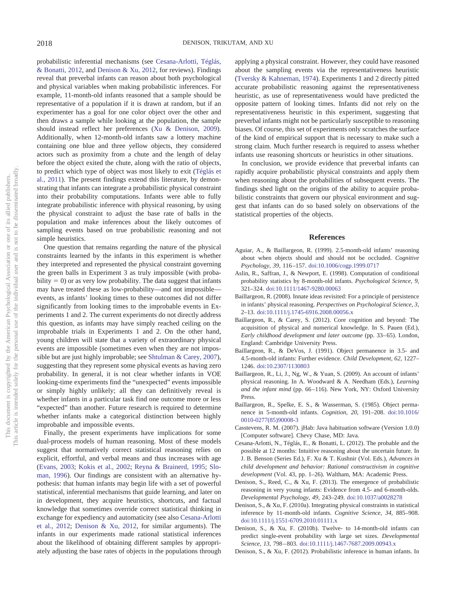This document is copyrighted by the American Psychological Association or This article is intended solely for the personal use of the individual user and is probabilistic inferential mechanisms (see [Cesana-Arlotti, Téglás,](#page-9-12) [& Bonatti, 2012,](#page-9-12) and [Denison & Xu, 2012,](#page-9-10) for reviews). Findings reveal that preverbal infants can reason about both psychological and physical variables when making probabilistic inferences. For example, 11-month-old infants reasoned that a sample should be representative of a population if it is drawn at random, but if an experimenter has a goal for one color object over the other and then draws a sample while looking at the population, the sample should instead reflect her preferences [\(Xu & Denison, 2009\)](#page-10-16). Additionally, when 12-month-old infants saw a lottery machine containing one blue and three yellow objects, they considered actors such as proximity from a chute and the length of delay before the object exited the chute, along with the ratio of objects, to predict which type of object was most likely to exit [\(Téglás et](#page-10-15) [al., 2011\)](#page-10-15). The present findings extend this literature, by demonstrating that infants can integrate a probabilistic physical constraint into their probability computations. Infants were able to fully integrate probabilistic inference with physical reasoning, by using the physical constraint to adjust the base rate of balls in the population and make inferences about the likely outcomes of sampling events based on true probabilistic reasoning and not simple heuristics.

One question that remains regarding the nature of the physical constraints learned by the infants in this experiment is whether they interpreted and represented the physical constraint governing the green balls in Experiment 3 as truly impossible (with proba $bility = 0$ ) or as very low probability. The data suggest that infants may have treated these as low-probability—and not impossible events, as infants' looking times to these outcomes did not differ significantly from looking times to the improbable events in Experiments 1 and 2. The current experiments do not directly address this question, as infants may have simply reached ceiling on the improbable trials in Experiments 1 and 2. On the other hand, young children will state that a variety of extraordinary physical events are impossible (sometimes even when they are not impossible but are just highly improbable; see [Shtulman & Carey, 2007\)](#page-10-20), suggesting that they represent some physical events as having zero probability. In general, it is not clear whether infants in VOE looking-time experiments find the "unexpected" events impossible or simply highly unlikely; all they can definitively reveal is whether infants in a particular task find one outcome more or less "expected" than another. Future research is required to determine whether infants make a categorical distinction between highly improbable and impossible events.

Finally, the present experiments have implications for some dual-process models of human reasoning. Most of these models suggest that normatively correct statistical reasoning relies on explicit, effortful, and verbal means and thus increases with age [\(Evans, 2003;](#page-10-21) [Kokis et al., 2002;](#page-10-22) [Reyna & Brainerd, 1995;](#page-10-23) [Slo](#page-10-24)[man, 1996\)](#page-10-24). Our findings are consistent with an alternative hypothesis: that human infants may begin life with a set of powerful statistical, inferential mechanisms that guide learning, and later on in development, they acquire heuristics, shortcuts, and factual knowledge that sometimes override correct statistical thinking in exchange for expediency and automaticity (see also [Cesana-Arlotti](#page-9-12) [et al., 2012;](#page-9-12) [Denison & Xu, 2012,](#page-9-10) for similar arguments). The infants in our experiments made rational statistical inferences about the likelihood of obtaining different samples by appropriately adjusting the base rates of objects in the populations through applying a physical constraint. However, they could have reasoned about the sampling events via the representativeness heuristic [\(Tversky & Kahneman, 1974\)](#page-10-18). Experiments 1 and 2 directly pitted accurate probabilistic reasoning against the representativeness heuristic, as use of representativeness would have predicted the opposite pattern of looking times. Infants did not rely on the representativeness heuristic in this experiment, suggesting that preverbal infants might not be particularly susceptible to reasoning biases. Of course, this set of experiments only scratches the surface of the kind of empirical support that is necessary to make such a strong claim. Much further research is required to assess whether infants use reasoning shortcuts or heuristics in other situations.

In conclusion, we provide evidence that preverbal infants can rapidly acquire probabilistic physical constraints and apply them when reasoning about the probabilities of subsequent events. The findings shed light on the origins of the ability to acquire probabilistic constraints that govern our physical environment and suggest that infants can do so based solely on observations of the statistical properties of the objects.

### **References**

- <span id="page-9-1"></span>Aguiar, A., & Baillargeon, R. (1999). 2.5-month-old infants' reasoning about when objects should and should not be occluded. *Cognitive Psychology, 39,* 116 –157. [doi:10.1006/cogp.1999.0717](http://dx.doi.org/10.1006/cogp.1999.0717)
- <span id="page-9-6"></span>Aslin, R., Saffran, J., & Newport, E. (1998). Computation of conditional probability statistics by 8-month-old infants. *Psychological Science, 9,* 321–324. [doi:10.1111/1467-9280.00063](http://dx.doi.org/10.1111/1467-9280.00063)
- <span id="page-9-0"></span>Baillargeon, R. (2008). Innate ideas revisited: For a principle of persistence in infants' physical reasoning. *Perspectives on Psychological Science, 3,* 2–13. [doi:10.1111/j.1745-6916.2008.00056.x](http://dx.doi.org/10.1111/j.1745-6916.2008.00056.x)
- <span id="page-9-5"></span>Baillargeon, R., & Carey, S. (2012). Core cognition and beyond: The acquisition of physical and numerical knowledge. In S. Pauen (Ed.), *Early childhood development and later outcome* (pp. 33–65). London, England: Cambridge University Press.
- <span id="page-9-4"></span>Baillargeon, R., & DeVos, J. (1991). Object permanence in 3.5- and 4.5-month-old infants: Further evidence. *Child Development, 62,* 1227– 1246. [doi:10.2307/1130803](http://dx.doi.org/10.2307/1130803)
- <span id="page-9-3"></span>Baillargeon, R., Li, J., Ng, W., & Yuan, S. (2009). An account of infants' physical reasoning. In A. Woodward & A. Needham (Eds.), *Learning* and the infant mind (pp. 66-116). New York, NY: Oxford University Press.
- <span id="page-9-2"></span>Baillargeon, R., Spelke, E. S., & Wasserman, S. (1985). Object permanence in 5-month-old infants. *Cognition, 20,* 191–208. [doi:10.1016/](http://dx.doi.org/10.1016/0010-0277%2885%2990008-3) [0010-0277\(85\)90008-3](http://dx.doi.org/10.1016/0010-0277%2885%2990008-3)
- <span id="page-9-11"></span>Casstevens, R. M. (2007). jHab: Java habituation software (Version 1.0.0) [Computer software]. Chevy Chase, MD: Java.
- <span id="page-9-12"></span>Cesana-Arlotti, N., Téglás, E., & Bonatti, L. (2012). The probable and the possible at 12 months: Intuitive reasoning about the uncertain future. In J. B. Benson (Series Ed.), F. Xu & T. Kushnir (Vol. Eds.), *Advances in child development and behavior: Rational constructivism in cognitive development* (Vol. 43, pp. 1–26). Waltham, MA: Academic Press.
- <span id="page-9-9"></span>Denison, S., Reed, C., & Xu, F. (2013). The emergence of probabilistic reasoning in very young infants: Evidence from 4.5- and 6-month-olds. *Developmental Psychology, 49,* 243–249. [doi:10.1037/a0028278](http://dx.doi.org/10.1037/a0028278)
- <span id="page-9-7"></span>Denison, S., & Xu, F. (2010a). Integrating physical constraints in statistical inference by 11-month-old infants. *Cognitive Science, 34,* 885–908. [doi:10.1111/j.1551-6709.2010.01111.x](http://dx.doi.org/10.1111/j.1551-6709.2010.01111.x)
- <span id="page-9-8"></span>Denison, S., & Xu, F. (2010b). Twelve- to 14-month-old infants can predict single-event probability with large set sizes. *Developmental Science, 13,* 798 – 803. [doi:10.1111/j.1467-7687.2009.00943.x](http://dx.doi.org/10.1111/j.1467-7687.2009.00943.x)
- <span id="page-9-10"></span>Denison, S., & Xu, F. (2012). Probabilistic inference in human infants. In